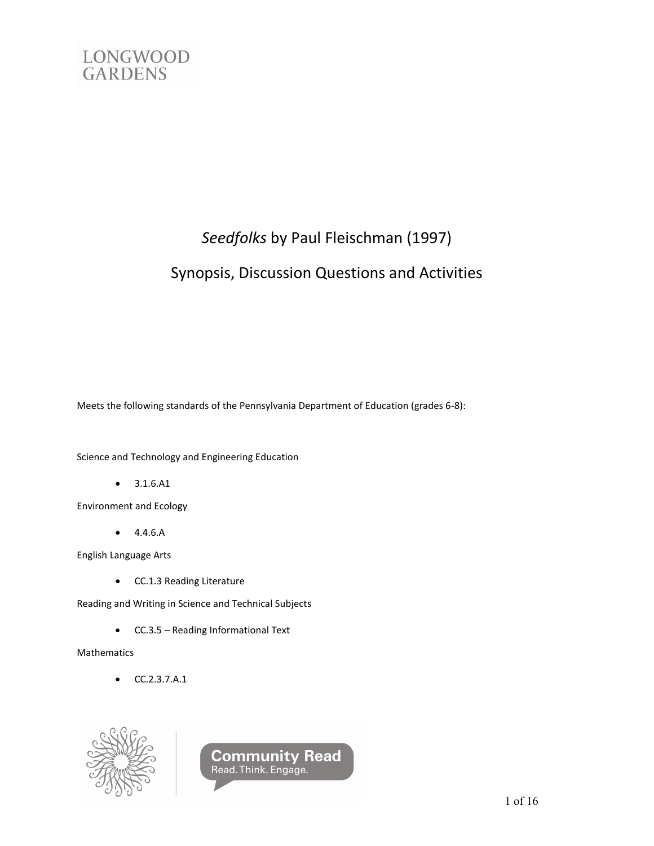

# *Seedfolks* by Paul Fleischman (1997)

# Synopsis, Discussion Questions and Activities

Meets the following standards of the Pennsylvania Department of Education (grades 6-8):

Science and Technology and Engineering Education

• 3.1.6.A1

Environment and Ecology

• 4.4.6.A

English Language Arts

• CC.1.3 Reading Literature

Reading and Writing in Science and Technical Subjects

• CC.3.5 – Reading Informational Text

Mathematics

• CC.2.3.7.A.1



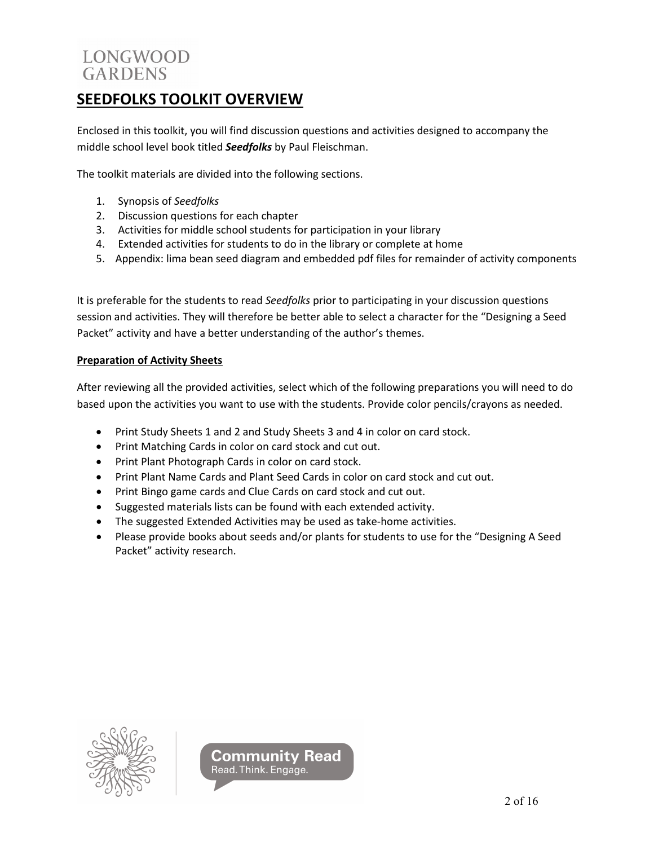# **SEEDFOLKS TOOLKIT OVERVIEW**

Enclosed in this toolkit, you will find discussion questions and activities designed to accompany the middle school level book titled *Seedfolks* by Paul Fleischman.

The toolkit materials are divided into the following sections.

- 1. Synopsis of *Seedfolks*
- 2. Discussion questions for each chapter
- 3. Activities for middle school students for participation in your library
- 4. Extended activities for students to do in the library or complete at home
- 5. Appendix: lima bean seed diagram and embedded pdf files for remainder of activity components

It is preferable for the students to read *Seedfolks* prior to participating in your discussion questions session and activities. They will therefore be better able to select a character for the "Designing a Seed Packet" activity and have a better understanding of the author's themes.

#### **Preparation of Activity Sheets**

After reviewing all the provided activities, select which of the following preparations you will need to do based upon the activities you want to use with the students. Provide color pencils/crayons as needed.

- Print Study Sheets 1 and 2 and Study Sheets 3 and 4 in color on card stock.
- Print Matching Cards in color on card stock and cut out.
- Print Plant Photograph Cards in color on card stock.
- Print Plant Name Cards and Plant Seed Cards in color on card stock and cut out.
- Print Bingo game cards and Clue Cards on card stock and cut out.
- Suggested materials lists can be found with each extended activity.
- The suggested Extended Activities may be used as take-home activities.
- Please provide books about seeds and/or plants for students to use for the "Designing A Seed Packet" activity research.



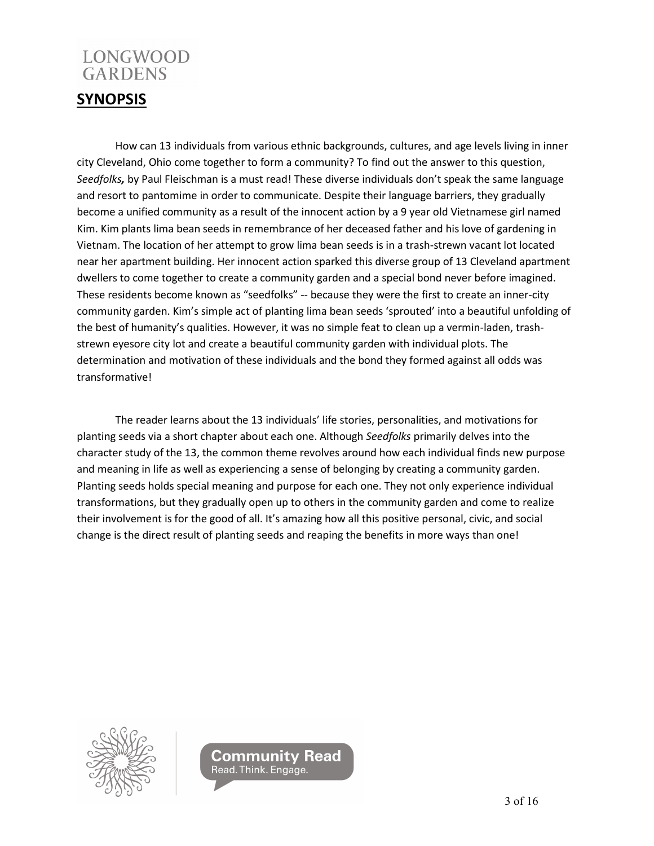## **SYNOPSIS**

How can 13 individuals from various ethnic backgrounds, cultures, and age levels living in inner city Cleveland, Ohio come together to form a community? To find out the answer to this question, *Seedfolks,* by Paul Fleischman is a must read! These diverse individuals don't speak the same language and resort to pantomime in order to communicate. Despite their language barriers, they gradually become a unified community as a result of the innocent action by a 9 year old Vietnamese girl named Kim. Kim plants lima bean seeds in remembrance of her deceased father and his love of gardening in Vietnam. The location of her attempt to grow lima bean seeds is in a trash-strewn vacant lot located near her apartment building. Her innocent action sparked this diverse group of 13 Cleveland apartment dwellers to come together to create a community garden and a special bond never before imagined. These residents become known as "seedfolks" -- because they were the first to create an inner-city community garden. Kim's simple act of planting lima bean seeds 'sprouted' into a beautiful unfolding of the best of humanity's qualities. However, it was no simple feat to clean up a vermin-laden, trashstrewn eyesore city lot and create a beautiful community garden with individual plots. The determination and motivation of these individuals and the bond they formed against all odds was transformative!

The reader learns about the 13 individuals' life stories, personalities, and motivations for planting seeds via a short chapter about each one. Although *Seedfolks* primarily delves into the character study of the 13, the common theme revolves around how each individual finds new purpose and meaning in life as well as experiencing a sense of belonging by creating a community garden. Planting seeds holds special meaning and purpose for each one. They not only experience individual transformations, but they gradually open up to others in the community garden and come to realize their involvement is for the good of all. It's amazing how all this positive personal, civic, and social change is the direct result of planting seeds and reaping the benefits in more ways than one!



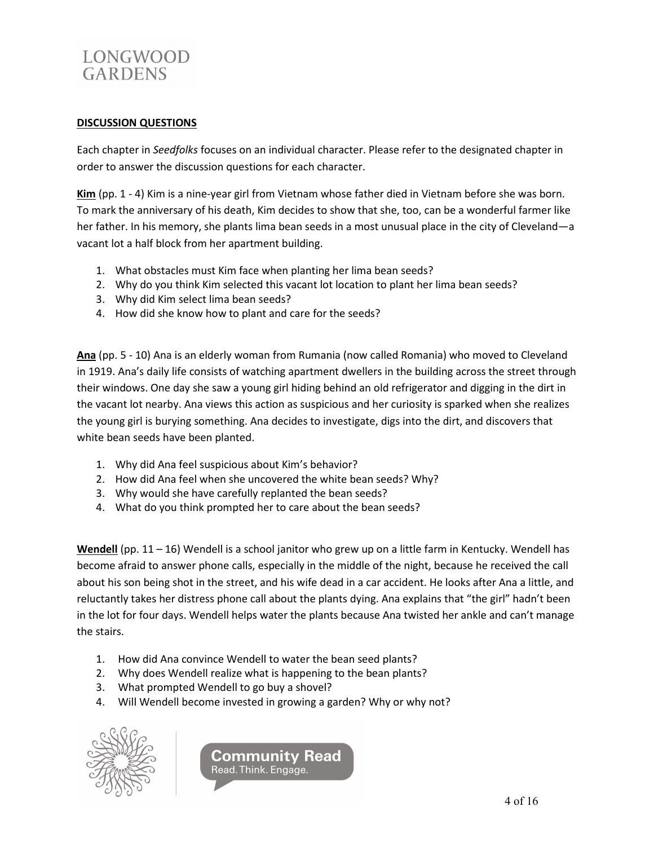

#### **DISCUSSION QUESTIONS**

Each chapter in *Seedfolks* focuses on an individual character. Please refer to the designated chapter in order to answer the discussion questions for each character.

**Kim** (pp. 1 - 4) Kim is a nine-year girl from Vietnam whose father died in Vietnam before she was born. To mark the anniversary of his death, Kim decides to show that she, too, can be a wonderful farmer like her father. In his memory, she plants lima bean seeds in a most unusual place in the city of Cleveland—a vacant lot a half block from her apartment building.

- 1. What obstacles must Kim face when planting her lima bean seeds?
- 2. Why do you think Kim selected this vacant lot location to plant her lima bean seeds?
- 3. Why did Kim select lima bean seeds?
- 4. How did she know how to plant and care for the seeds?

**Ana** (pp. 5 - 10) Ana is an elderly woman from Rumania (now called Romania) who moved to Cleveland in 1919. Ana's daily life consists of watching apartment dwellers in the building across the street through their windows. One day she saw a young girl hiding behind an old refrigerator and digging in the dirt in the vacant lot nearby. Ana views this action as suspicious and her curiosity is sparked when she realizes the young girl is burying something. Ana decides to investigate, digs into the dirt, and discovers that white bean seeds have been planted.

- 1. Why did Ana feel suspicious about Kim's behavior?
- 2. How did Ana feel when she uncovered the white bean seeds? Why?
- 3. Why would she have carefully replanted the bean seeds?
- 4. What do you think prompted her to care about the bean seeds?

**Wendell** (pp. 11 – 16) Wendell is a school janitor who grew up on a little farm in Kentucky. Wendell has become afraid to answer phone calls, especially in the middle of the night, because he received the call about his son being shot in the street, and his wife dead in a car accident. He looks after Ana a little, and reluctantly takes her distress phone call about the plants dying. Ana explains that "the girl" hadn't been in the lot for four days. Wendell helps water the plants because Ana twisted her ankle and can't manage the stairs.

- 1. How did Ana convince Wendell to water the bean seed plants?
- 2. Why does Wendell realize what is happening to the bean plants?
- 3. What prompted Wendell to go buy a shovel?
- 4. Will Wendell become invested in growing a garden? Why or why not?



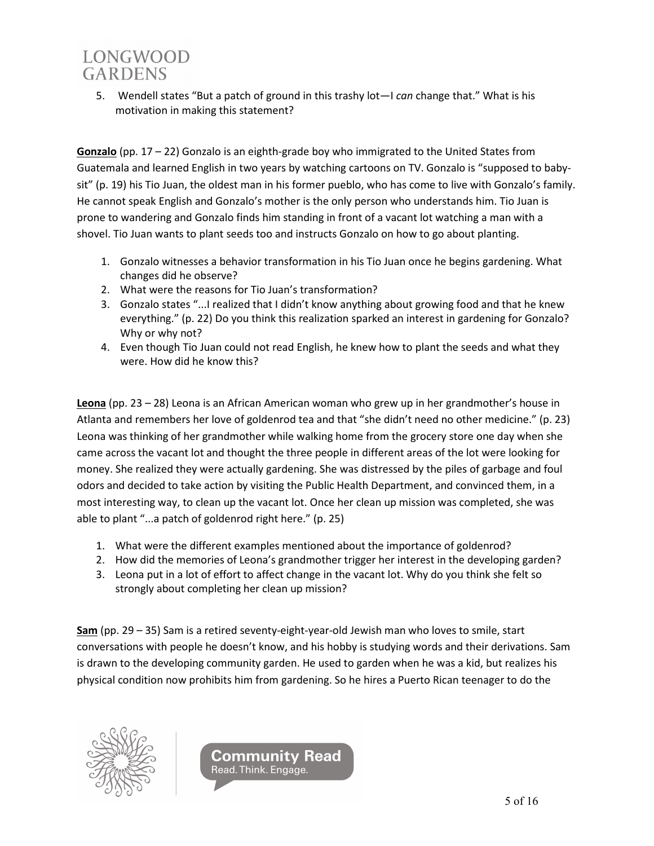5. Wendell states "But a patch of ground in this trashy lot—I *can* change that." What is his motivation in making this statement?

**Gonzalo** (pp. 17 – 22) Gonzalo is an eighth-grade boy who immigrated to the United States from Guatemala and learned English in two years by watching cartoons on TV. Gonzalo is "supposed to babysit" (p. 19) his Tio Juan, the oldest man in his former pueblo, who has come to live with Gonzalo's family. He cannot speak English and Gonzalo's mother is the only person who understands him. Tio Juan is prone to wandering and Gonzalo finds him standing in front of a vacant lot watching a man with a shovel. Tio Juan wants to plant seeds too and instructs Gonzalo on how to go about planting.

- 1. Gonzalo witnesses a behavior transformation in his Tio Juan once he begins gardening. What changes did he observe?
- 2. What were the reasons for Tio Juan's transformation?
- 3. Gonzalo states "...I realized that I didn't know anything about growing food and that he knew everything." (p. 22) Do you think this realization sparked an interest in gardening for Gonzalo? Why or why not?
- 4. Even though Tio Juan could not read English, he knew how to plant the seeds and what they were. How did he know this?

**Leona** (pp. 23 – 28) Leona is an African American woman who grew up in her grandmother's house in Atlanta and remembers her love of goldenrod tea and that "she didn't need no other medicine." (p. 23) Leona was thinking of her grandmother while walking home from the grocery store one day when she came across the vacant lot and thought the three people in different areas of the lot were looking for money. She realized they were actually gardening. She was distressed by the piles of garbage and foul odors and decided to take action by visiting the Public Health Department, and convinced them, in a most interesting way, to clean up the vacant lot. Once her clean up mission was completed, she was able to plant "...a patch of goldenrod right here." (p. 25)

- 1. What were the different examples mentioned about the importance of goldenrod?
- 2. How did the memories of Leona's grandmother trigger her interest in the developing garden?
- 3. Leona put in a lot of effort to affect change in the vacant lot. Why do you think she felt so strongly about completing her clean up mission?

**Sam** (pp. 29 – 35) Sam is a retired seventy-eight-year-old Jewish man who loves to smile, start conversations with people he doesn't know, and his hobby is studying words and their derivations. Sam is drawn to the developing community garden. He used to garden when he was a kid, but realizes his physical condition now prohibits him from gardening. So he hires a Puerto Rican teenager to do the



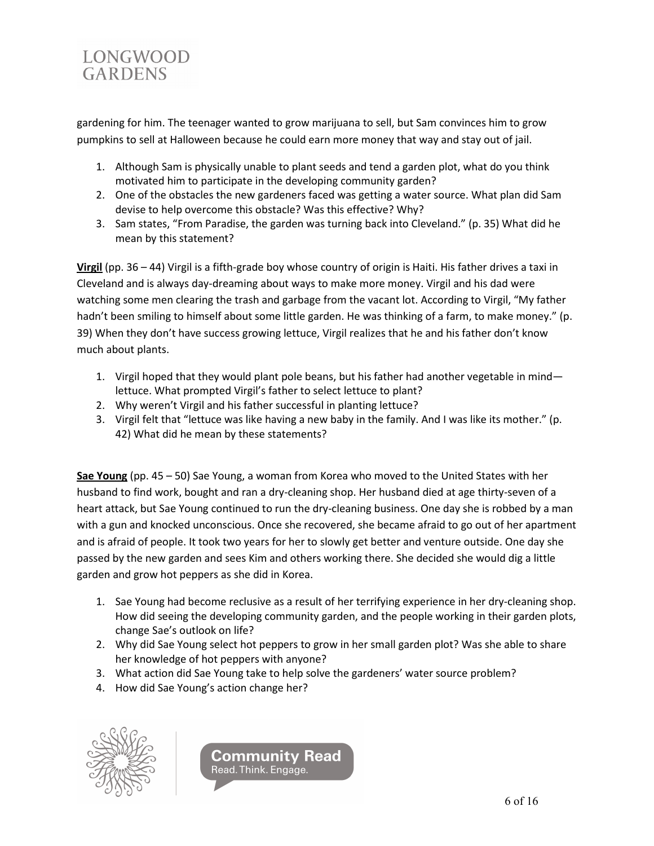

gardening for him. The teenager wanted to grow marijuana to sell, but Sam convinces him to grow pumpkins to sell at Halloween because he could earn more money that way and stay out of jail.

- 1. Although Sam is physically unable to plant seeds and tend a garden plot, what do you think motivated him to participate in the developing community garden?
- 2. One of the obstacles the new gardeners faced was getting a water source. What plan did Sam devise to help overcome this obstacle? Was this effective? Why?
- 3. Sam states, "From Paradise, the garden was turning back into Cleveland." (p. 35) What did he mean by this statement?

**Virgil** (pp. 36 – 44) Virgil is a fifth-grade boy whose country of origin is Haiti. His father drives a taxi in Cleveland and is always day-dreaming about ways to make more money. Virgil and his dad were watching some men clearing the trash and garbage from the vacant lot. According to Virgil, "My father hadn't been smiling to himself about some little garden. He was thinking of a farm, to make money." (p. 39) When they don't have success growing lettuce, Virgil realizes that he and his father don't know much about plants.

- 1. Virgil hoped that they would plant pole beans, but his father had another vegetable in mind lettuce. What prompted Virgil's father to select lettuce to plant?
- 2. Why weren't Virgil and his father successful in planting lettuce?
- 3. Virgil felt that "lettuce was like having a new baby in the family. And I was like its mother." (p. 42) What did he mean by these statements?

**Sae Young** (pp. 45 – 50) Sae Young, a woman from Korea who moved to the United States with her husband to find work, bought and ran a dry-cleaning shop. Her husband died at age thirty-seven of a heart attack, but Sae Young continued to run the dry-cleaning business. One day she is robbed by a man with a gun and knocked unconscious. Once she recovered, she became afraid to go out of her apartment and is afraid of people. It took two years for her to slowly get better and venture outside. One day she passed by the new garden and sees Kim and others working there. She decided she would dig a little garden and grow hot peppers as she did in Korea.

- 1. Sae Young had become reclusive as a result of her terrifying experience in her dry-cleaning shop. How did seeing the developing community garden, and the people working in their garden plots, change Sae's outlook on life?
- 2. Why did Sae Young select hot peppers to grow in her small garden plot? Was she able to share her knowledge of hot peppers with anyone?
- 3. What action did Sae Young take to help solve the gardeners' water source problem?
- 4. How did Sae Young's action change her?



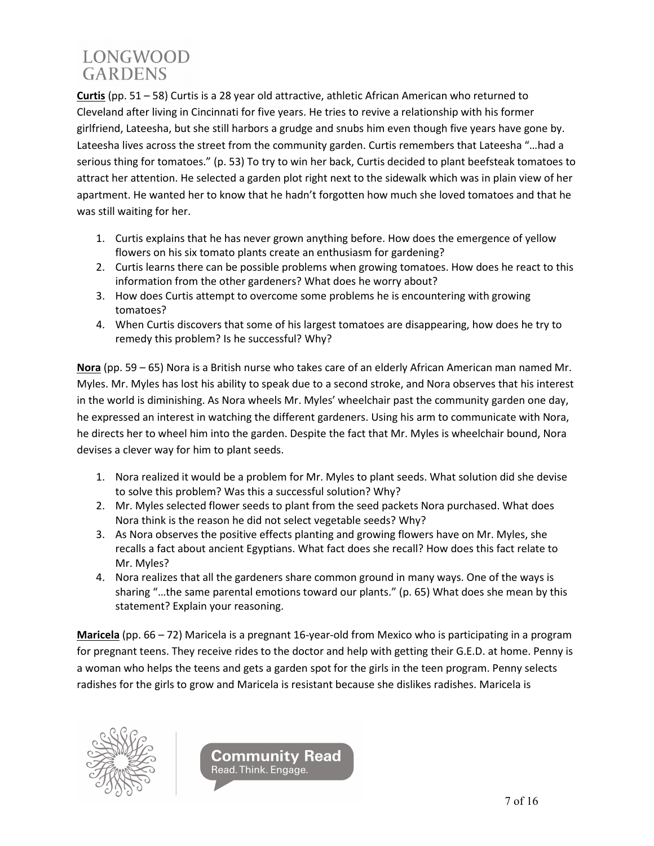**Curtis** (pp. 51 – 58) Curtis is a 28 year old attractive, athletic African American who returned to Cleveland after living in Cincinnati for five years. He tries to revive a relationship with his former girlfriend, Lateesha, but she still harbors a grudge and snubs him even though five years have gone by. Lateesha lives across the street from the community garden. Curtis remembers that Lateesha "…had a serious thing for tomatoes." (p. 53) To try to win her back, Curtis decided to plant beefsteak tomatoes to attract her attention. He selected a garden plot right next to the sidewalk which was in plain view of her apartment. He wanted her to know that he hadn't forgotten how much she loved tomatoes and that he was still waiting for her.

- 1. Curtis explains that he has never grown anything before. How does the emergence of yellow flowers on his six tomato plants create an enthusiasm for gardening?
- 2. Curtis learns there can be possible problems when growing tomatoes. How does he react to this information from the other gardeners? What does he worry about?
- 3. How does Curtis attempt to overcome some problems he is encountering with growing tomatoes?
- 4. When Curtis discovers that some of his largest tomatoes are disappearing, how does he try to remedy this problem? Is he successful? Why?

**Nora** (pp. 59 – 65) Nora is a British nurse who takes care of an elderly African American man named Mr. Myles. Mr. Myles has lost his ability to speak due to a second stroke, and Nora observes that his interest in the world is diminishing. As Nora wheels Mr. Myles' wheelchair past the community garden one day, he expressed an interest in watching the different gardeners. Using his arm to communicate with Nora, he directs her to wheel him into the garden. Despite the fact that Mr. Myles is wheelchair bound, Nora devises a clever way for him to plant seeds.

- 1. Nora realized it would be a problem for Mr. Myles to plant seeds. What solution did she devise to solve this problem? Was this a successful solution? Why?
- 2. Mr. Myles selected flower seeds to plant from the seed packets Nora purchased. What does Nora think is the reason he did not select vegetable seeds? Why?
- 3. As Nora observes the positive effects planting and growing flowers have on Mr. Myles, she recalls a fact about ancient Egyptians. What fact does she recall? How does this fact relate to Mr. Myles?
- 4. Nora realizes that all the gardeners share common ground in many ways. One of the ways is sharing "…the same parental emotions toward our plants." (p. 65) What does she mean by this statement? Explain your reasoning.

**Maricela** (pp. 66 – 72) Maricela is a pregnant 16-year-old from Mexico who is participating in a program for pregnant teens. They receive rides to the doctor and help with getting their G.E.D. at home. Penny is a woman who helps the teens and gets a garden spot for the girls in the teen program. Penny selects radishes for the girls to grow and Maricela is resistant because she dislikes radishes. Maricela is



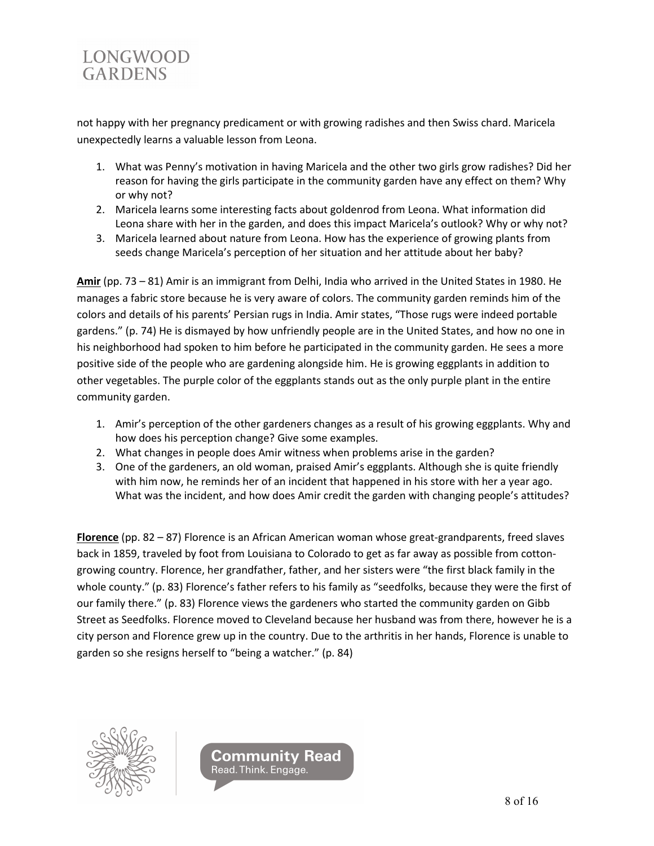

not happy with her pregnancy predicament or with growing radishes and then Swiss chard. Maricela unexpectedly learns a valuable lesson from Leona.

- 1. What was Penny's motivation in having Maricela and the other two girls grow radishes? Did her reason for having the girls participate in the community garden have any effect on them? Why or why not?
- 2. Maricela learns some interesting facts about goldenrod from Leona. What information did Leona share with her in the garden, and does this impact Maricela's outlook? Why or why not?
- 3. Maricela learned about nature from Leona. How has the experience of growing plants from seeds change Maricela's perception of her situation and her attitude about her baby?

**Amir** (pp. 73 – 81) Amir is an immigrant from Delhi, India who arrived in the United States in 1980. He manages a fabric store because he is very aware of colors. The community garden reminds him of the colors and details of his parents' Persian rugs in India. Amir states, "Those rugs were indeed portable gardens." (p. 74) He is dismayed by how unfriendly people are in the United States, and how no one in his neighborhood had spoken to him before he participated in the community garden. He sees a more positive side of the people who are gardening alongside him. He is growing eggplants in addition to other vegetables. The purple color of the eggplants stands out as the only purple plant in the entire community garden.

- 1. Amir's perception of the other gardeners changes as a result of his growing eggplants. Why and how does his perception change? Give some examples.
- 2. What changes in people does Amir witness when problems arise in the garden?
- 3. One of the gardeners, an old woman, praised Amir's eggplants. Although she is quite friendly with him now, he reminds her of an incident that happened in his store with her a year ago. What was the incident, and how does Amir credit the garden with changing people's attitudes?

**Florence** (pp. 82 – 87) Florence is an African American woman whose great-grandparents, freed slaves back in 1859, traveled by foot from Louisiana to Colorado to get as far away as possible from cottongrowing country. Florence, her grandfather, father, and her sisters were "the first black family in the whole county." (p. 83) Florence's father refers to his family as "seedfolks, because they were the first of our family there." (p. 83) Florence views the gardeners who started the community garden on Gibb Street as Seedfolks. Florence moved to Cleveland because her husband was from there, however he is a city person and Florence grew up in the country. Due to the arthritis in her hands, Florence is unable to garden so she resigns herself to "being a watcher." (p. 84)



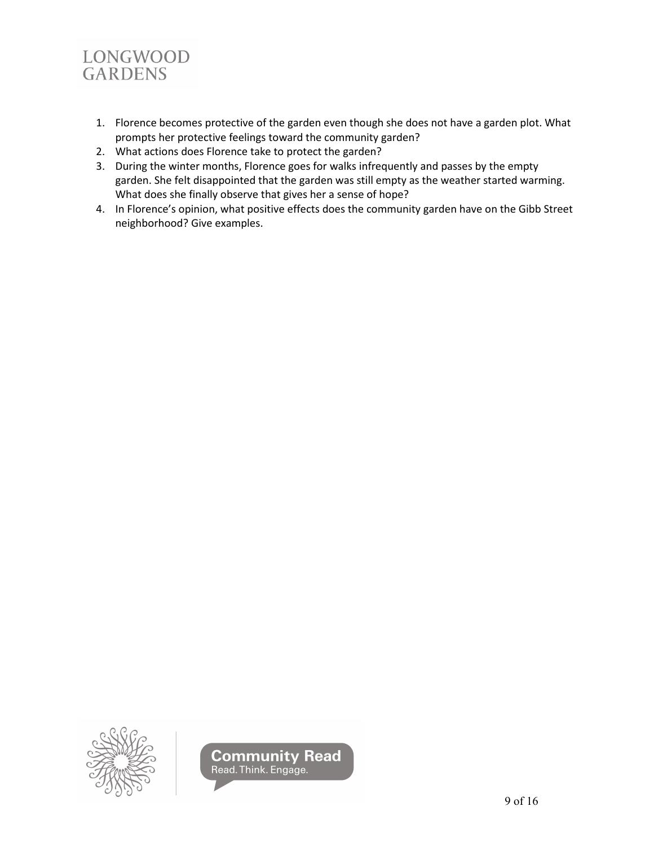

- 1. Florence becomes protective of the garden even though she does not have a garden plot. What prompts her protective feelings toward the community garden?
- 2. What actions does Florence take to protect the garden?
- 3. During the winter months, Florence goes for walks infrequently and passes by the empty garden. She felt disappointed that the garden was still empty as the weather started warming. What does she finally observe that gives her a sense of hope?
- 4. In Florence's opinion, what positive effects does the community garden have on the Gibb Street neighborhood? Give examples.



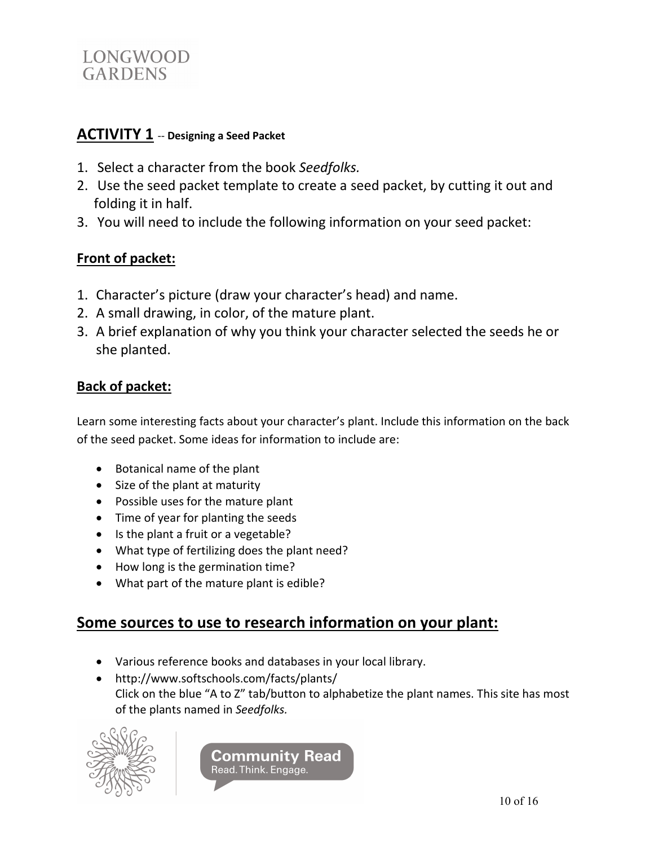

### **ACTIVITY 1** -- **Designing a Seed Packet**

- 1. Select a character from the book *Seedfolks.*
- 2. Use the seed packet template to create a seed packet, by cutting it out and folding it in half.
- 3. You will need to include the following information on your seed packet:

## **Front of packet:**

- 1. Character's picture (draw your character's head) and name.
- 2. A small drawing, in color, of the mature plant.
- 3. A brief explanation of why you think your character selected the seeds he or she planted.

## **Back of packet:**

Learn some interesting facts about your character's plant. Include this information on the back of the seed packet. Some ideas for information to include are:

- Botanical name of the plant
- Size of the plant at maturity
- Possible uses for the mature plant
- Time of year for planting the seeds
- Is the plant a fruit or a vegetable?
- What type of fertilizing does the plant need?
- How long is the germination time?
- What part of the mature plant is edible?

## **Some sources to use to research information on your plant:**

- Various reference books and databases in your local library.
- <http://www.softschools.com/facts/plants/> Click on the blue "A to Z" tab/button to alphabetize the plant names. This site has most of the plants named in *Seedfolks.*



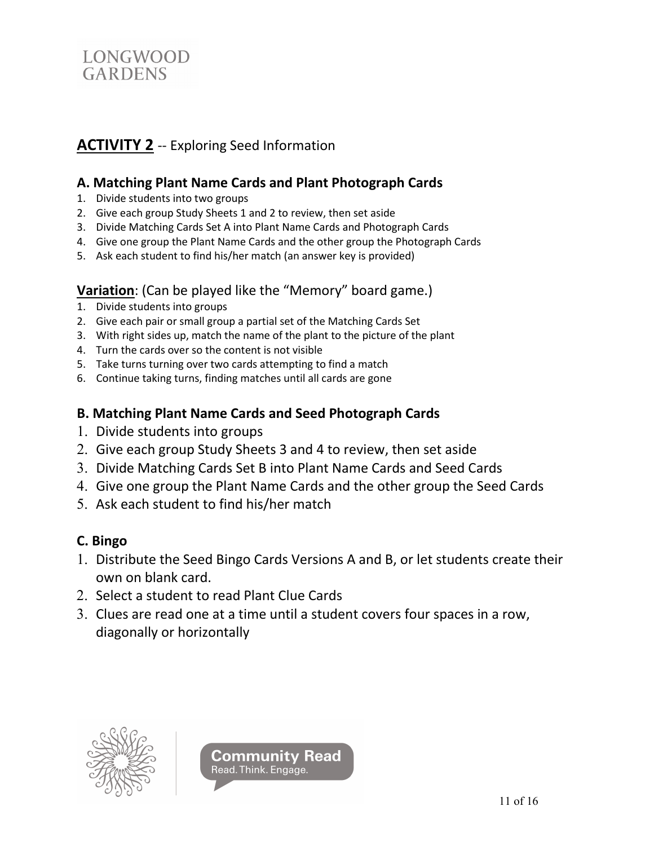

# **ACTIVITY 2** -- Exploring Seed Information

### **A. Matching Plant Name Cards and Plant Photograph Cards**

- 1. Divide students into two groups
- 2. Give each group Study Sheets 1 and 2 to review, then set aside
- 3. Divide Matching Cards Set A into Plant Name Cards and Photograph Cards
- 4. Give one group the Plant Name Cards and the other group the Photograph Cards
- 5. Ask each student to find his/her match (an answer key is provided)

### **Variation**: (Can be played like the "Memory" board game.)

- 1. Divide students into groups
- 2. Give each pair or small group a partial set of the Matching Cards Set
- 3. With right sides up, match the name of the plant to the picture of the plant
- 4. Turn the cards over so the content is not visible
- 5. Take turns turning over two cards attempting to find a match
- 6. Continue taking turns, finding matches until all cards are gone

#### **B. Matching Plant Name Cards and Seed Photograph Cards**

- 1. Divide students into groups
- 2. Give each group Study Sheets 3 and 4 to review, then set aside
- 3. Divide Matching Cards Set B into Plant Name Cards and Seed Cards
- 4. Give one group the Plant Name Cards and the other group the Seed Cards
- 5. Ask each student to find his/her match

#### **C. Bingo**

- 1. Distribute the Seed Bingo Cards Versions A and B, or let students create their own on blank card.
- 2. Select a student to read Plant Clue Cards
- 3. Clues are read one at a time until a student covers four spaces in a row, diagonally or horizontally



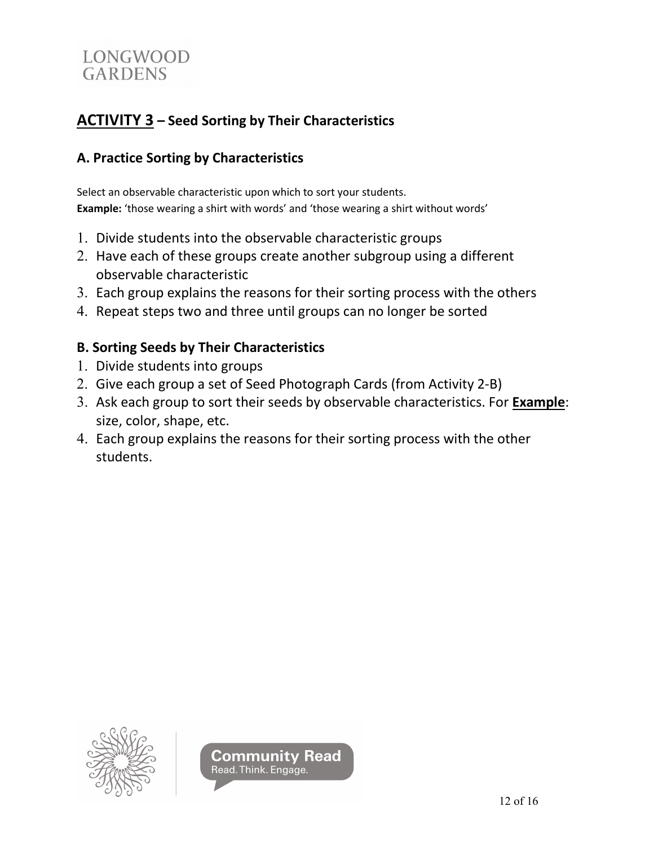

# **ACTIVITY 3 – Seed Sorting by Their Characteristics**

## **A. Practice Sorting by Characteristics**

Select an observable characteristic upon which to sort your students. **Example:** 'those wearing a shirt with words' and 'those wearing a shirt without words'

- 1. Divide students into the observable characteristic groups
- 2. Have each of these groups create another subgroup using a different observable characteristic
- 3. Each group explains the reasons for their sorting process with the others
- 4. Repeat steps two and three until groups can no longer be sorted

## **B. Sorting Seeds by Their Characteristics**

- 1. Divide students into groups
- 2. Give each group a set of Seed Photograph Cards (from Activity 2-B)
- 3. Ask each group to sort their seeds by observable characteristics. For **Example**: size, color, shape, etc.
- 4. Each group explains the reasons for their sorting process with the other students.



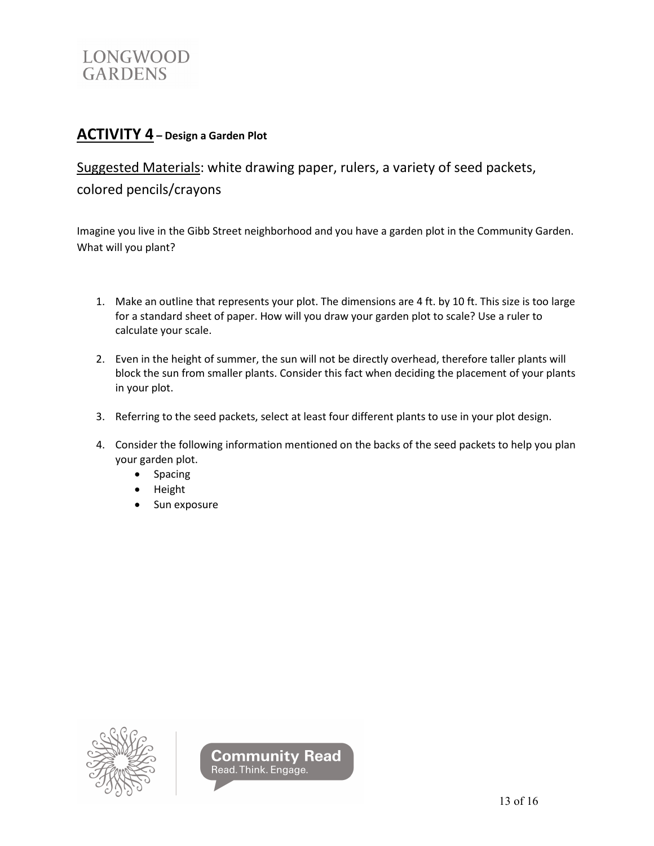

## **ACTIVITY 4 – Design a Garden Plot**

Suggested Materials: white drawing paper, rulers, a variety of seed packets, colored pencils/crayons

Imagine you live in the Gibb Street neighborhood and you have a garden plot in the Community Garden. What will you plant?

- 1. Make an outline that represents your plot. The dimensions are 4 ft. by 10 ft. This size is too large for a standard sheet of paper. How will you draw your garden plot to scale? Use a ruler to calculate your scale.
- 2. Even in the height of summer, the sun will not be directly overhead, therefore taller plants will block the sun from smaller plants. Consider this fact when deciding the placement of your plants in your plot.
- 3. Referring to the seed packets, select at least four different plants to use in your plot design.
- 4. Consider the following information mentioned on the backs of the seed packets to help you plan your garden plot.
	- Spacing
	- Height
	- Sun exposure



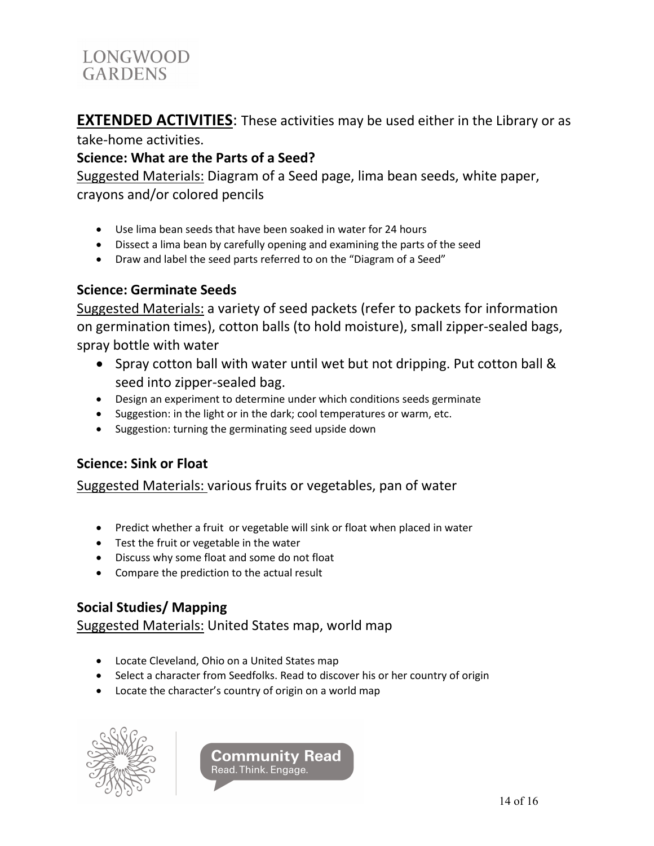**EXTENDED ACTIVITIES**: These activities may be used either in the Library or as

take-home activities.

## **Science: What are the Parts of a Seed?**

Suggested Materials: Diagram of a Seed page, lima bean seeds, white paper, crayons and/or colored pencils

- Use lima bean seeds that have been soaked in water for 24 hours
- Dissect a lima bean by carefully opening and examining the parts of the seed
- Draw and label the seed parts referred to on the "Diagram of a Seed"

## **Science: Germinate Seeds**

Suggested Materials: a variety of seed packets (refer to packets for information on germination times), cotton balls (to hold moisture), small zipper-sealed bags, spray bottle with water

- Spray cotton ball with water until wet but not dripping. Put cotton ball & seed into zipper-sealed bag.
- Design an experiment to determine under which conditions seeds germinate
- Suggestion: in the light or in the dark; cool temperatures or warm, etc.
- Suggestion: turning the germinating seed upside down

## **Science: Sink or Float**

## Suggested Materials: various fruits or vegetables, pan of water

- Predict whether a fruit or vegetable will sink or float when placed in water
- Test the fruit or vegetable in the water
- Discuss why some float and some do not float
- Compare the prediction to the actual result

## **Social Studies/ Mapping**

## Suggested Materials: United States map, world map

- Locate Cleveland, Ohio on a United States map
- Select a character from Seedfolks. Read to discover his or her country of origin
- Locate the character's country of origin on a world map



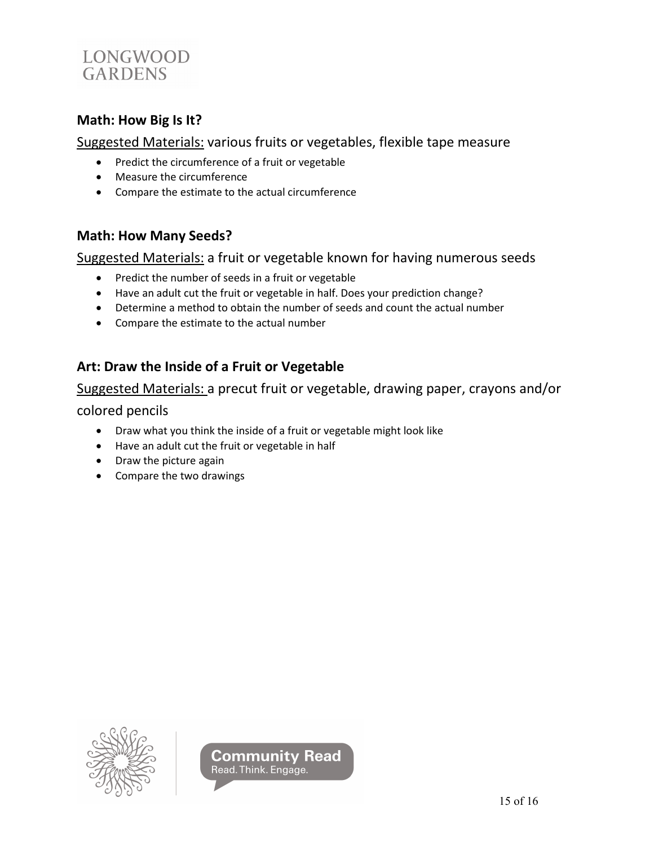

#### **Math: How Big Is It?**

Suggested Materials: various fruits or vegetables, flexible tape measure

- Predict the circumference of a fruit or vegetable
- Measure the circumference
- Compare the estimate to the actual circumference

#### **Math: How Many Seeds?**

Suggested Materials: a fruit or vegetable known for having numerous seeds

- Predict the number of seeds in a fruit or vegetable
- Have an adult cut the fruit or vegetable in half. Does your prediction change?
- Determine a method to obtain the number of seeds and count the actual number
- Compare the estimate to the actual number

### **Art: Draw the Inside of a Fruit or Vegetable**

Suggested Materials: a precut fruit or vegetable, drawing paper, crayons and/or

colored pencils

- Draw what you think the inside of a fruit or vegetable might look like
- Have an adult cut the fruit or vegetable in half
- Draw the picture again
- Compare the two drawings